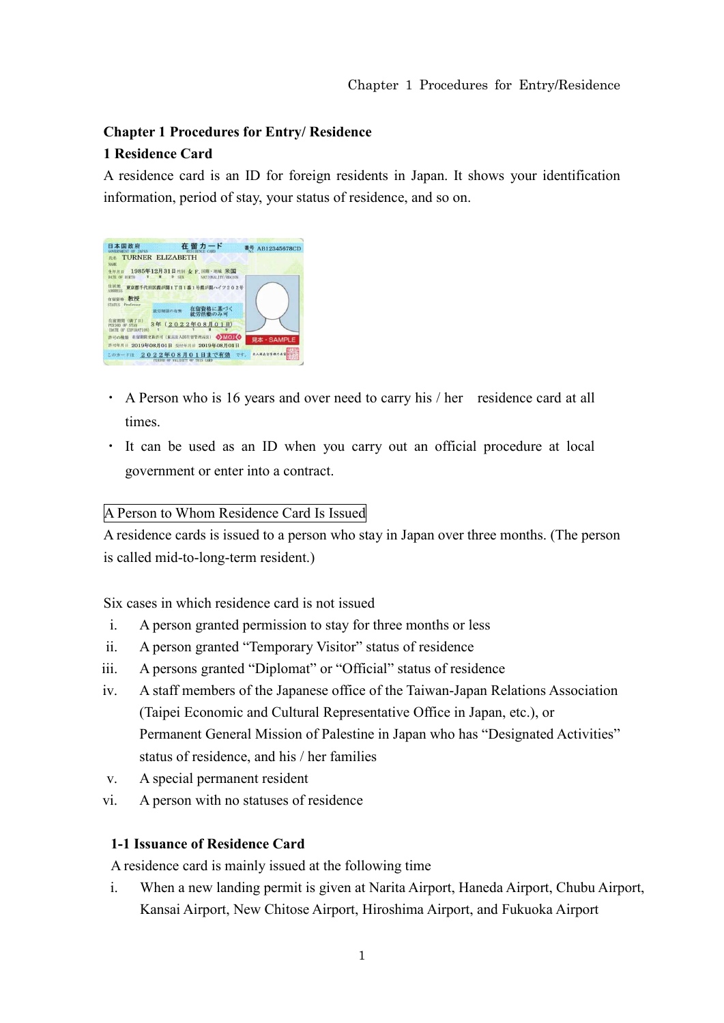# **Chapter 1 Procedures for Entry/ Residence 1 Residence Card**

A residence card is an ID for foreign residents in Japan. It shows your identification information, period of stay, your status of residence, and so on.

| 日本国政府                                                  | 在留力-                                                                 | AB12345678CD     |
|--------------------------------------------------------|----------------------------------------------------------------------|------------------|
| <b>TURNER ELIZABETH</b><br>氏名<br><b>NAME</b>           |                                                                      |                  |
| 生年月日<br>DATE OF BIRTH                                  | 1985年12月31日性别 女 F. 国籍·地域 米国<br>D SEX<br>NATIONAL ITY/REGION          |                  |
| 住厨地<br><b>ADDRESS</b>                                  | 東京都千代田区霞が開1丁目1番1号霞が開ハイツ202号                                          |                  |
| 教授<br>在留管格<br><b>STATUS</b> Professor                  |                                                                      |                  |
|                                                        | 在留資格に基づく<br>就労制限の有無<br>就労活動のみ可                                       |                  |
| (满了日)<br>PERIOD OF STAY<br><b>(DATE OF EXPIRATION)</b> | 3年 (2022年08月01日)                                                     |                  |
| 許可の確断                                                  | OMO<br>在留期間更新許可 (東京出入国在留管理局長)<br>許可年月日 2019年08月01日 交付年月日 2019年08月01日 | 見本·SAMPLE        |
|                                                        | このカードは 2022年08月01日まで有効<br>OF THIS CARD<br><b>VALIDITY</b>            | 水入湖点位号推力点:<br>四十 |

- ・ A Person who is 16 years and over need to carry his / her residence card at all times.
- ・ It can be used as an ID when you carry out an official procedure at local government or enter into a contract.

#### A Person to Whom Residence Card Is Issued

A residence cards is issued to a person who stay in Japan over three months. (The person is called mid-to-long-term resident.)

Six cases in which residence card is not issued

- i. A person granted permission to stay for three months or less
- ii. A person granted "Temporary Visitor" status of residence
- iii. A persons granted "Diplomat" or "Official" status of residence
- iv. A staff members of the Japanese office of the Taiwan-Japan Relations Association (Taipei Economic and Cultural Representative Office in Japan, etc.), or Permanent General Mission of Palestine in Japan who has "Designated Activities" status of residence, and his / her families
- v. A special permanent resident
- vi. A person with no statuses of residence

### **1-1 Issuance of Residence Card**

A residence card is mainly issued at the following time

i. When a new landing permit is given at Narita Airport, Haneda Airport, Chubu Airport, Kansai Airport, New Chitose Airport, Hiroshima Airport, and Fukuoka Airport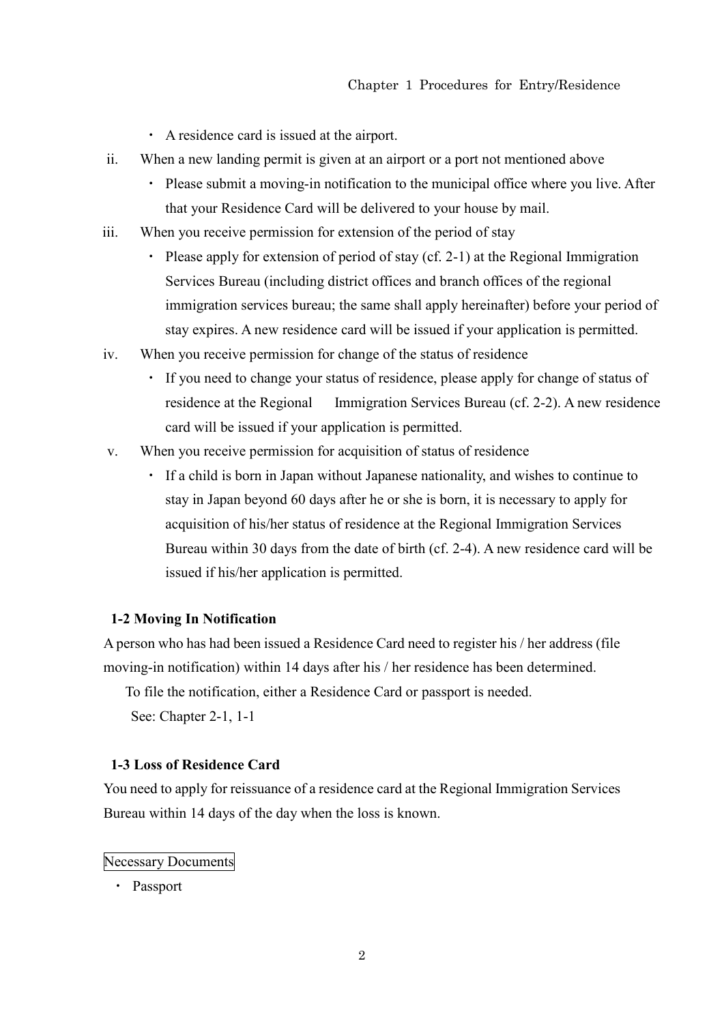- ・ A residence card is issued at the airport.
- ii. When a new landing permit is given at an airport or a port not mentioned above
	- ・ Please submit a moving-in notification to the municipal office where you live. After that your Residence Card will be delivered to your house by mail.
- iii. When you receive permission for extension of the period of stay
	- ・ Please apply for extension of period of stay (cf. 2-1) at the Regional Immigration Services Bureau (including district offices and branch offices of the regional immigration services bureau; the same shall apply hereinafter) before your period of stay expires. A new residence card will be issued if your application is permitted.
- iv. When you receive permission for change of the status of residence
	- ・ If you need to change your status of residence, please apply for change of status of residence at the Regional Immigration Services Bureau (cf. 2-2). A new residence card will be issued if your application is permitted.
- v. When you receive permission for acquisition of status of residence
	- ・ If a child is born in Japan without Japanese nationality, and wishes to continue to stay in Japan beyond 60 days after he or she is born, it is necessary to apply for acquisition of his/her status of residence at the Regional Immigration Services Bureau within 30 days from the date of birth (cf. 2-4). A new residence card will be issued if his/her application is permitted.

#### **1-2 Moving In Notification**

A person who has had been issued a Residence Card need to register his / her address (file moving-in notification) within 14 days after his / her residence has been determined.

To file the notification, either a Residence Card or passport is needed.

See: Chapter 2-1, 1-1

#### **1-3 Loss of Residence Card**

You need to apply for reissuance of a residence card at the Regional Immigration Services Bureau within 14 days of the day when the loss is known.

#### Necessary Documents

・ Passport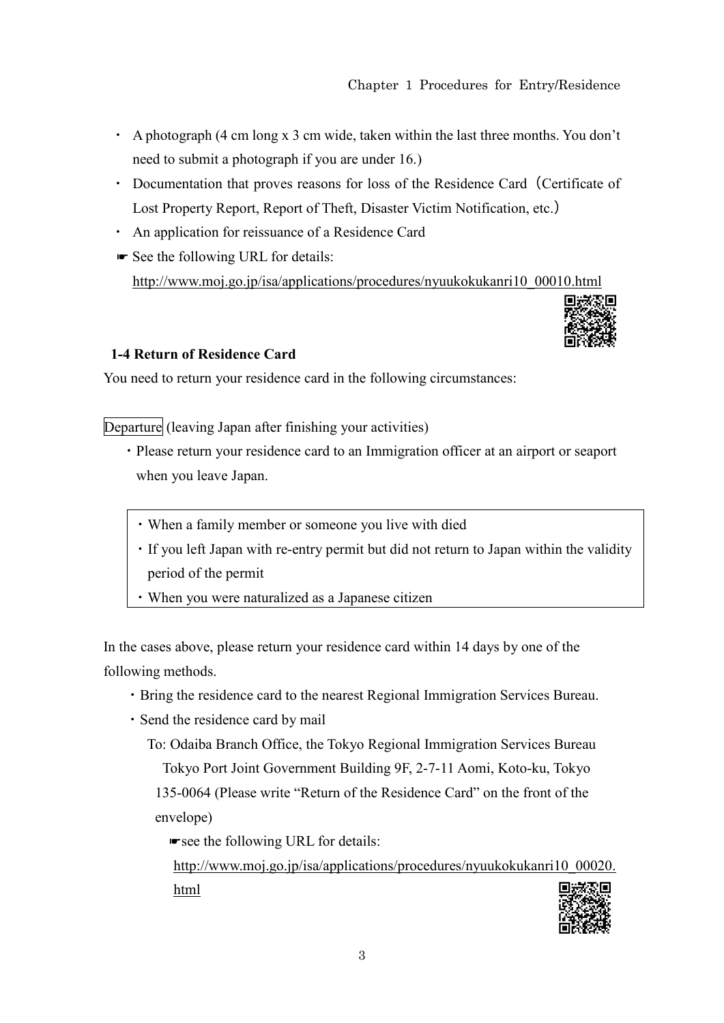- ・ A photograph (4 cm long x 3 cm wide, taken within the last three months. You don't need to submit a photograph if you are under 16.)
- Documentation that proves reasons for loss of the Residence Card (Certificate of Lost Property Report, Report of Theft, Disaster Victim Notification, etc.)
- ・ An application for reissuance of a Residence Card
- ☛ See the following URL for details: http://www.moj.go.jp/isa/applications/procedures/nyuukokukanri10\_00010.html



### **1-4 Return of Residence Card**

You need to return your residence card in the following circumstances:

Departure (leaving Japan after finishing your activities)

- ・Please return your residence card to an Immigration officer at an airport or seaport when you leave Japan.
	- ・When a family member or someone you live with died
	- ・If you left Japan with re-entry permit but did not return to Japan within the validity period of the permit
	- ・When you were naturalized as a Japanese citizen

In the cases above, please return your residence card within 14 days by one of the following methods.

- ・Bring the residence card to the nearest Regional Immigration Services Bureau.
- ・Send the residence card by mail

To: Odaiba Branch Office, the Tokyo Regional Immigration Services Bureau Tokyo Port Joint Government Building 9F, 2-7-11 Aomi, Koto-ku, Tokyo 135-0064 (Please write "Return of the Residence Card" on the front of the envelope)

☛see the following URL for details:

http://www.moj.go.jp/isa/applications/procedures/nyuukokukanri10\_00020. html

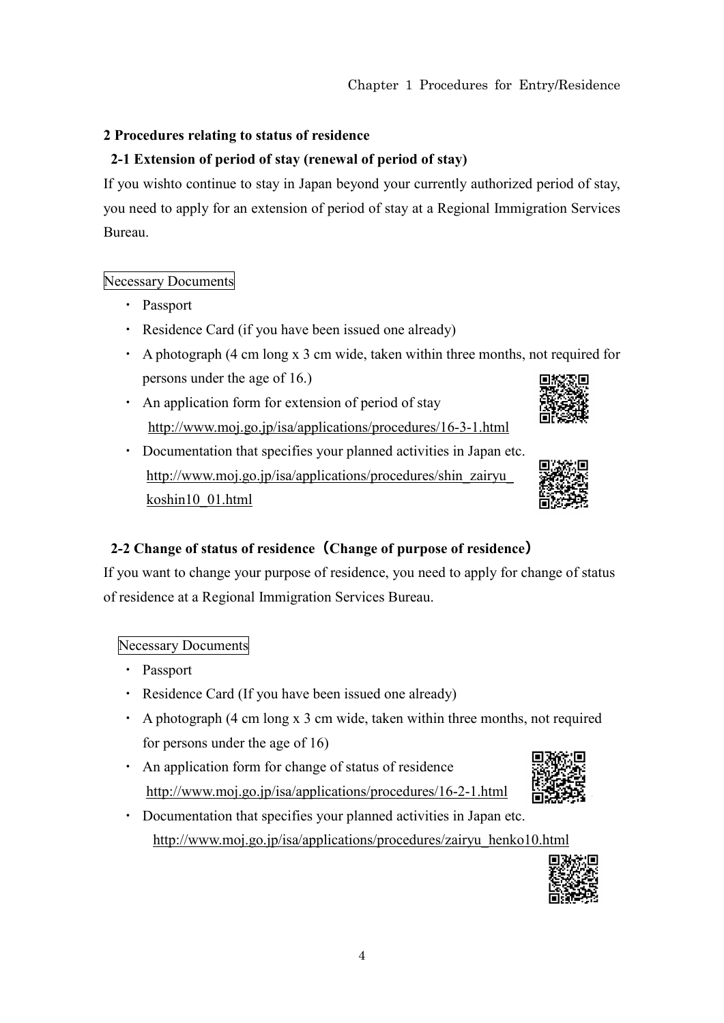## **2 Procedures relating to status of residence**

# **2-1 Extension of period of stay (renewal of period of stay)**

If you wishto continue to stay in Japan beyond your currently authorized period of stay, you need to apply for an extension of period of stay at a Regional Immigration Services Bureau.

## Necessary Documents

- ・ Passport
- ・ Residence Card (if you have been issued one already)
- ・ A photograph (4 cm long x 3 cm wide, taken within three months, not required for persons under the age of 16.) 同制 恋同
- ・ An application form for extension of period of stay http://www.moj.go.jp/isa/applications/procedures/16-3-1.html
- ・ Documentation that specifies your planned activities in Japan etc. http://www.moj.go.jp/isa/applications/procedures/shin\_zairyu\_ koshin10\_01.html



# **2-2 Change of status of residence(Change of purpose of residence)**

If you want to change your purpose of residence, you need to apply for change of status of residence at a Regional Immigration Services Bureau.

## Necessary Documents

- ・ Passport
- ・ Residence Card (If you have been issued one already)
- ・ A photograph (4 cm long x 3 cm wide, taken within three months, not required for persons under the age of 16)
- ・ An application form for change of status of residence http://www.moj.go.jp/isa/applications/procedures/16-2-1.html
- ・ Documentation that specifies your planned activities in Japan etc. http://www.moj.go.jp/isa/applications/procedures/zairyu\_henko10.html

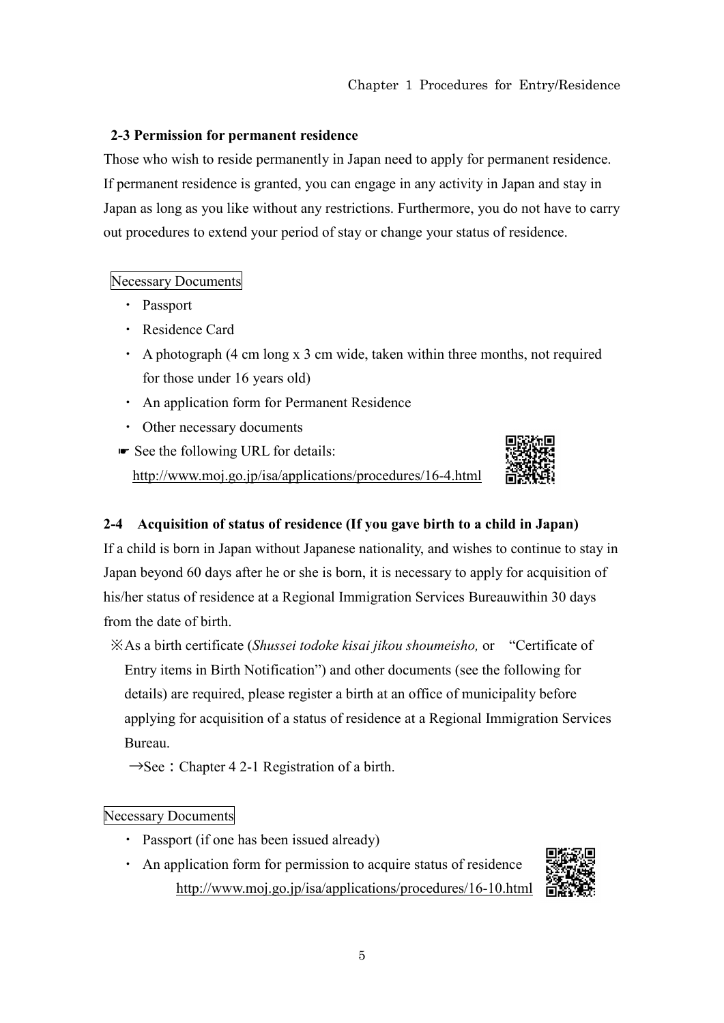#### **2-3 Permission for permanent residence**

Those who wish to reside permanently in Japan need to apply for permanent residence. If permanent residence is granted, you can engage in any activity in Japan and stay in Japan as long as you like without any restrictions. Furthermore, you do not have to carry out procedures to extend your period of stay or change your status of residence.

#### Necessary Documents

- ・ Passport
- ・ Residence Card
- ・ A photograph (4 cm long x 3 cm wide, taken within three months, not required for those under 16 years old)
- ・ An application form for Permanent Residence
- ・ Other necessary documents
- ☛ See the following URL for details: http://www.moj.go.jp/isa/applications/procedures/16-4.html



#### **2-4 Acquisition of status of residence (If you gave birth to a child in Japan)**

If a child is born in Japan without Japanese nationality, and wishes to continue to stay in Japan beyond 60 days after he or she is born, it is necessary to apply for acquisition of his/her status of residence at a Regional Immigration Services Bureauwithin 30 days from the date of birth.

※As a birth certificate (*Shussei todoke kisai jikou shoumeisho,* or "Certificate of

Entry items in Birth Notification") and other documents (see the following for details) are required, please register a birth at an office of municipality before applying for acquisition of a status of residence at a Regional Immigration Services Bureau.

 $\rightarrow$ See: Chapter 4 2-1 Registration of a birth.

#### Necessary Documents

- ・ Passport (if one has been issued already)
- ・ An application form for permission to acquire status of residence http://www.moj.go.jp/isa/applications/procedures/16-10.html

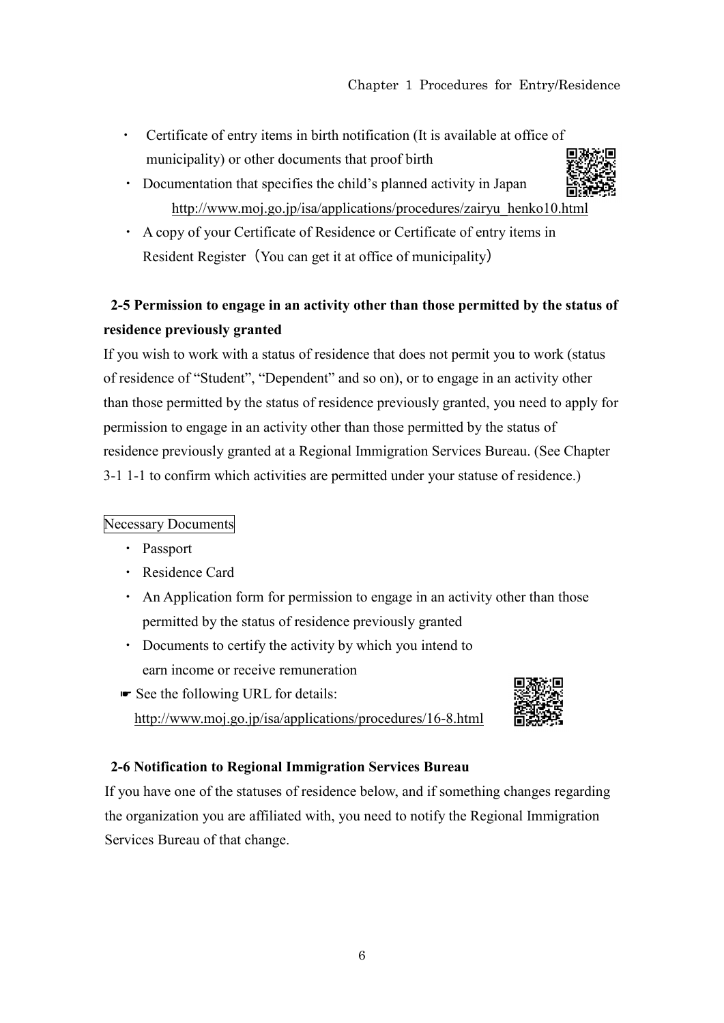- Certificate of entry items in birth notification (It is available at office of municipality) or other documents that proof birth
- ・ Documentation that specifies the child's planned activity in Japan http://www.moj.go.jp/isa/applications/procedures/zairyu\_henko10.html
- ・ A copy of your Certificate of Residence or Certificate of entry items in Resident Register (You can get it at office of municipality)

# **2-5 Permission to engage in an activity other than those permitted by the status of residence previously granted**

If you wish to work with a status of residence that does not permit you to work (status of residence of "Student", "Dependent" and so on), or to engage in an activity other than those permitted by the status of residence previously granted, you need to apply for permission to engage in an activity other than those permitted by the status of residence previously granted at a Regional Immigration Services Bureau. (See Chapter 3-1 1-1 to confirm which activities are permitted under your statuse of residence.)

## Necessary Documents

- ・ Passport
- ・ Residence Card
- ・ An Application form for permission to engage in an activity other than those permitted by the status of residence previously granted
- ・ Documents to certify the activity by which you intend to earn income or receive remuneration
- ☛ See the following URL for details: http://www.moj.go.jp/isa/applications/procedures/16-8.html



### **2-6 Notification to Regional Immigration Services Bureau**

If you have one of the statuses of residence below, and if something changes regarding the organization you are affiliated with, you need to notify the Regional Immigration Services Bureau of that change.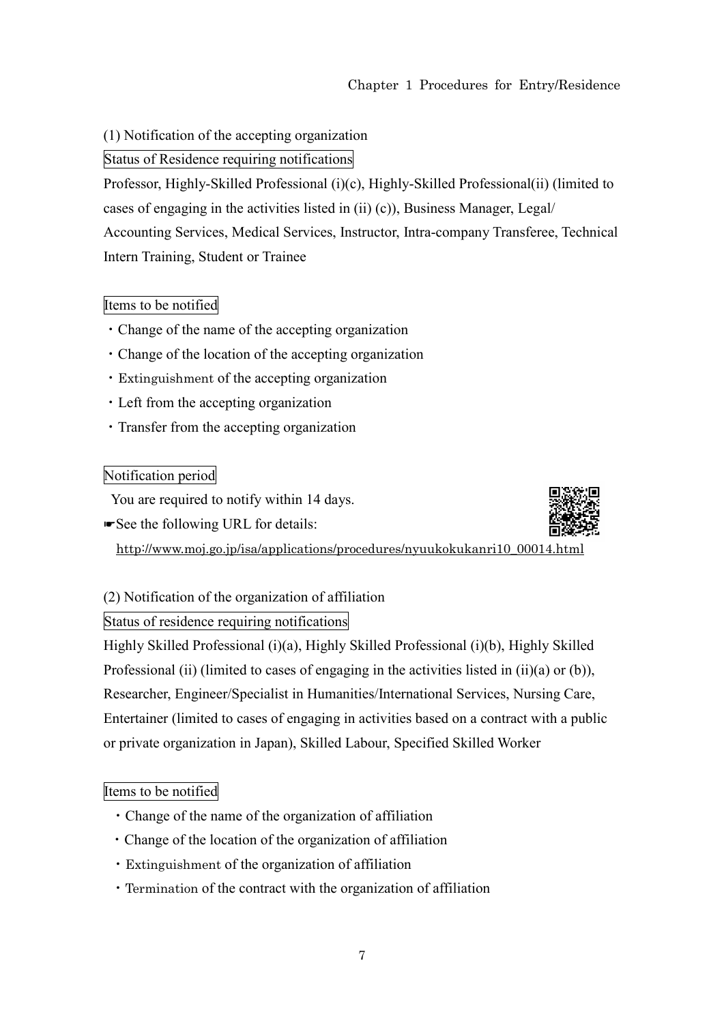(1) Notification of the accepting organization

Status of Residence requiring notifications

Professor, Highly-Skilled Professional (i)(c), Highly-Skilled Professional(ii) (limited to cases of engaging in the activities listed in (ii) (c)), Business Manager, Legal/ Accounting Services, Medical Services, Instructor, Intra-company Transferee, Technical Intern Training, Student or Trainee

#### Items to be notified

- ・Change of the name of the accepting organization
- ・Change of the location of the accepting organization
- ・Extinguishment of the accepting organization
- ・Left from the accepting organization
- ・Transfer from the accepting organization

#### Notification period

You are required to notify within 14 days.

☛See the following URL for details:



http://www.moj.go.jp/isa/applications/procedures/nyuukokukanri10\_00014.html

(2) Notification of the organization of affiliation

#### Status of residence requiring notifications

Highly Skilled Professional (i)(a), Highly Skilled Professional (i)(b), Highly Skilled Professional (ii) (limited to cases of engaging in the activities listed in (ii)(a) or (b)), Researcher, Engineer/Specialist in Humanities/International Services, Nursing Care, Entertainer (limited to cases of engaging in activities based on a contract with a public or private organization in Japan), Skilled Labour, Specified Skilled Worker

#### Items to be notified

- ・Change of the name of the organization of affiliation
- ・Change of the location of the organization of affiliation
- ・Extinguishment of the organization of affiliation
- ・Termination of the contract with the organization of affiliation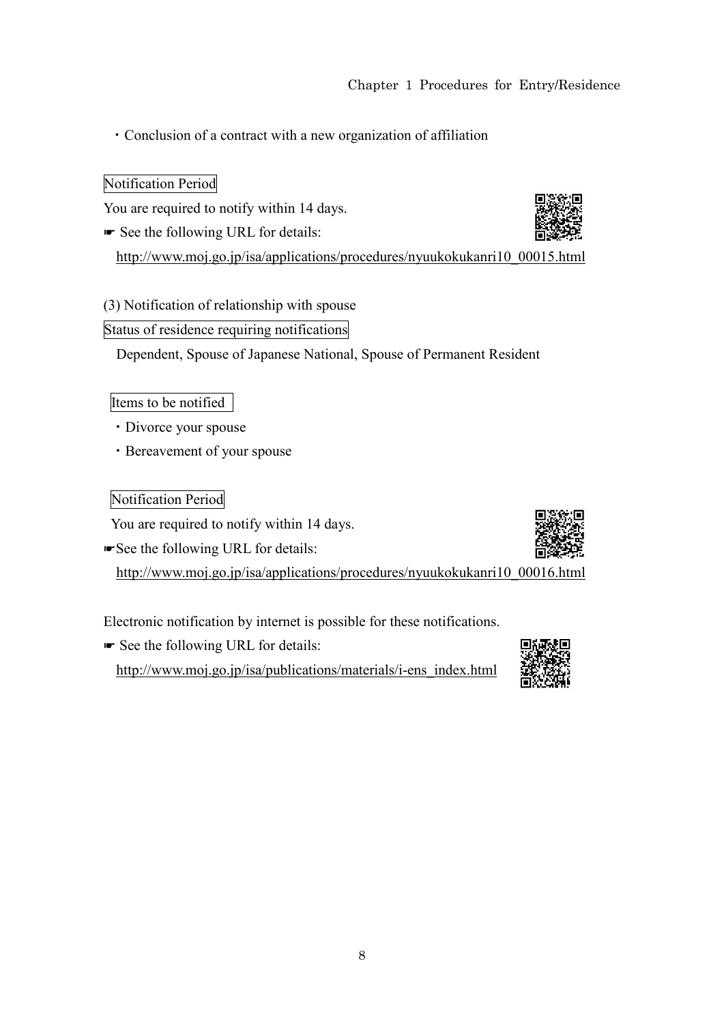・Conclusion of a contract with a new organization of affiliation

## Notification Period

You are required to notify within 14 days.

☛ See the following URL for details:



# (3) Notification of relationship with spouse

## Status of residence requiring notifications

Dependent, Spouse of Japanese National, Spouse of Permanent Resident

## Items to be notified

- ・Divorce your spouse
- ・Bereavement of your spouse

# Notification Period

You are required to notify within 14 days.

☛See the following URL for details:

http://www.moj.go.jp/isa/applications/procedures/nyuukokukanri10\_00016.html

Electronic notification by internet is possible for these notifications.

☛ See the following URL for details: http://www.moj.go.jp/isa/publications/materials/i-ens\_index.html



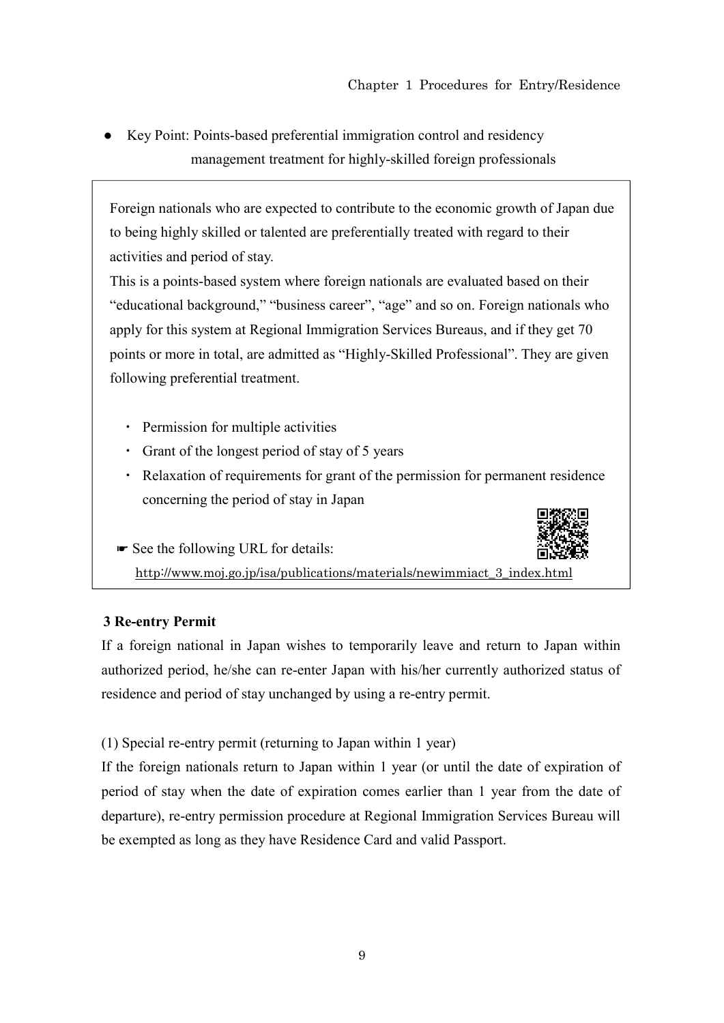● Key Point: Points-based preferential immigration control and residency management treatment for highly-skilled foreign professionals

Foreign nationals who are expected to contribute to the economic growth of Japan due to being highly skilled or talented are preferentially treated with regard to their activities and period of stay.

This is a points-based system where foreign nationals are evaluated based on their "educational background," "business career", "age" and so on. Foreign nationals who apply for this system at Regional Immigration Services Bureaus, and if they get 70 points or more in total, are admitted as "Highly-Skilled Professional". They are given following preferential treatment.

- ・ Permission for multiple activities
- ・ Grant of the longest period of stay of 5 years
- ・ Relaxation of requirements for grant of the permission for permanent residence concerning the period of stay in Japan
- ☛ See the following URL for details: http://www.moj.go.jp/isa/publications/materials/newimmiact\_3\_index.html

# **3 Re-entry Permit**

If a foreign national in Japan wishes to temporarily leave and return to Japan within authorized period, he/she can re-enter Japan with his/her currently authorized status of residence and period of stay unchanged by using a re-entry permit.

(1) Special re-entry permit (returning to Japan within 1 year)

If the foreign nationals return to Japan within 1 year (or until the date of expiration of period of stay when the date of expiration comes earlier than 1 year from the date of departure), re-entry permission procedure at Regional Immigration Services Bureau will be exempted as long as they have Residence Card and valid Passport.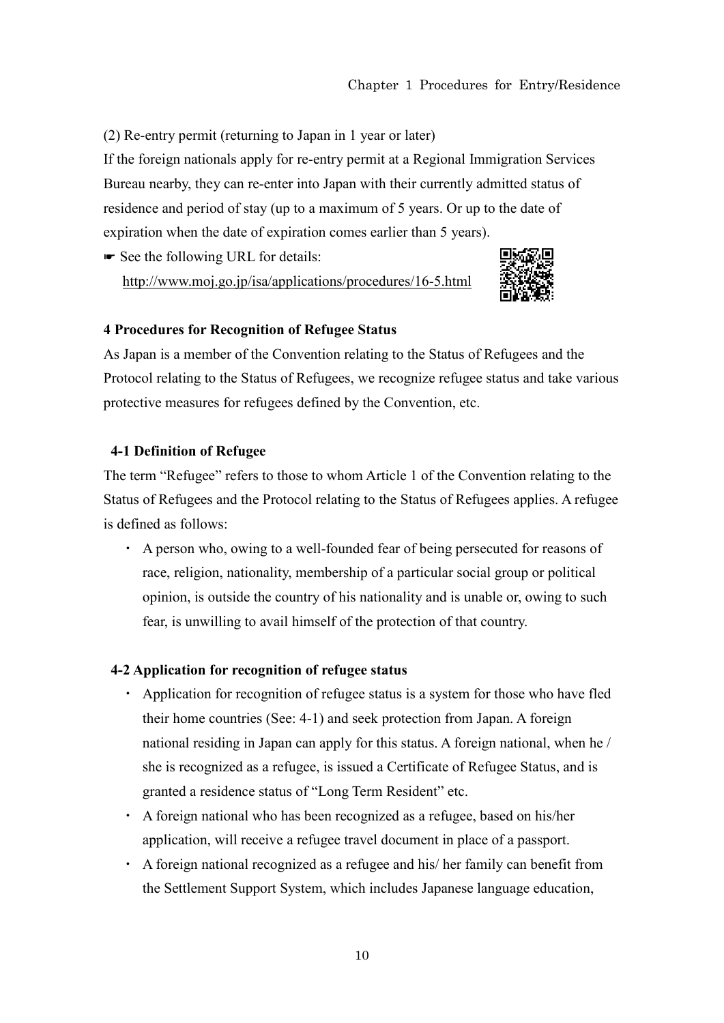(2) Re-entry permit (returning to Japan in 1 year or later)

If the foreign nationals apply for re-entry permit at a Regional Immigration Services Bureau nearby, they can re-enter into Japan with their currently admitted status of residence and period of stay (up to a maximum of 5 years. Or up to the date of expiration when the date of expiration comes earlier than 5 years).

☛ See the following URL for details: http://www.moj.go.jp/isa/applications/procedures/16-5.html



#### **4 Procedures for Recognition of Refugee Status**

As Japan is a member of the Convention relating to the Status of Refugees and the Protocol relating to the Status of Refugees, we recognize refugee status and take various protective measures for refugees defined by the Convention, etc.

#### **4-1 Definition of Refugee**

The term "Refugee" refers to those to whom Article 1 of the Convention relating to the Status of Refugees and the Protocol relating to the Status of Refugees applies. A refugee is defined as follows:

・ A person who, owing to a well-founded fear of being persecuted for reasons of race, religion, nationality, membership of a particular social group or political opinion, is outside the country of his nationality and is unable or, owing to such fear, is unwilling to avail himself of the protection of that country.

#### **4-2 Application for recognition of refugee status**

- ・ Application for recognition of refugee status is a system for those who have fled their home countries (See: 4-1) and seek protection from Japan. A foreign national residing in Japan can apply for this status. A foreign national, when he / she is recognized as a refugee, is issued a Certificate of Refugee Status, and is granted a residence status of "Long Term Resident" etc.
- ・ A foreign national who has been recognized as a refugee, based on his/her application, will receive a refugee travel document in place of a passport.
- ・ A foreign national recognized as a refugee and his/ her family can benefit from the Settlement Support System, which includes Japanese language education,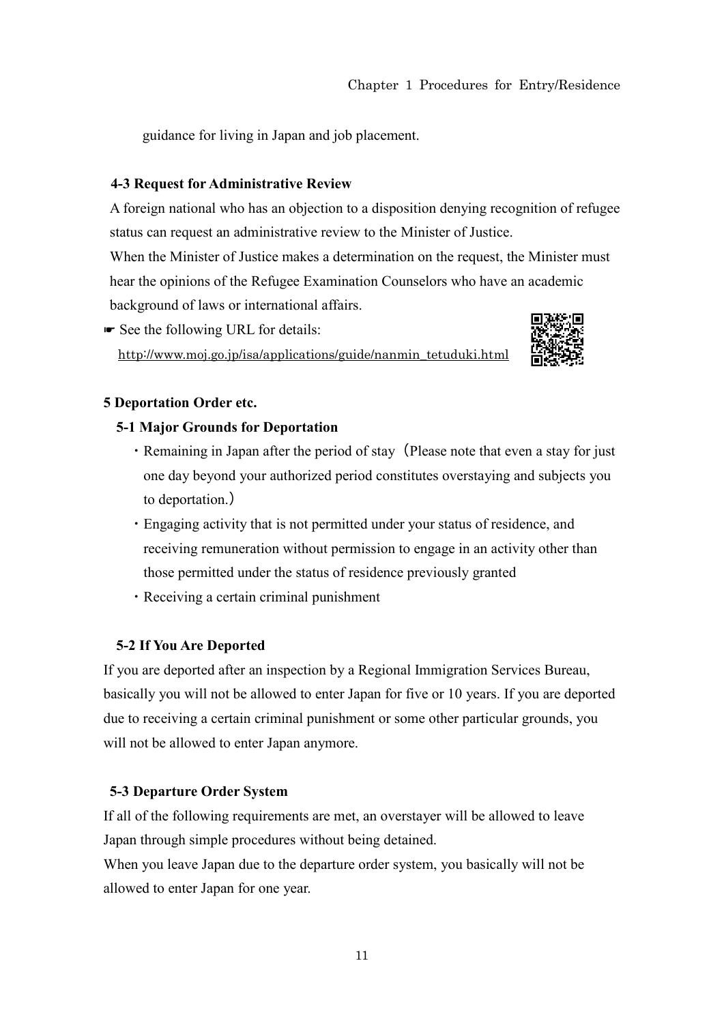guidance for living in Japan and job placement.

#### **4-3 Request for Administrative Review**

A foreign national who has an objection to a disposition denying recognition of refugee status can request an administrative review to the Minister of Justice. When the Minister of Justice makes a determination on the request, the Minister must hear the opinions of the Refugee Examination Counselors who have an academic background of laws or international affairs.

☛ See the following URL for details: http://www.moj.go.jp/isa/applications/guide/nanmin\_tetuduki.html



#### **5 Deportation Order etc.**

#### **5-1 Major Grounds for Deportation**

- Remaining in Japan after the period of stay (Please note that even a stay for just one day beyond your authorized period constitutes overstaying and subjects you to deportation.)
- ・Engaging activity that is not permitted under your status of residence, and receiving remuneration without permission to engage in an activity other than those permitted under the status of residence previously granted
- ・Receiving a certain criminal punishment

### **5-2 If You Are Deported**

If you are deported after an inspection by a Regional Immigration Services Bureau, basically you will not be allowed to enter Japan for five or 10 years. If you are deported due to receiving a certain criminal punishment or some other particular grounds, you will not be allowed to enter Japan anymore.

### **5-3 Departure Order System**

If all of the following requirements are met, an overstayer will be allowed to leave Japan through simple procedures without being detained.

When you leave Japan due to the departure order system, you basically will not be allowed to enter Japan for one year.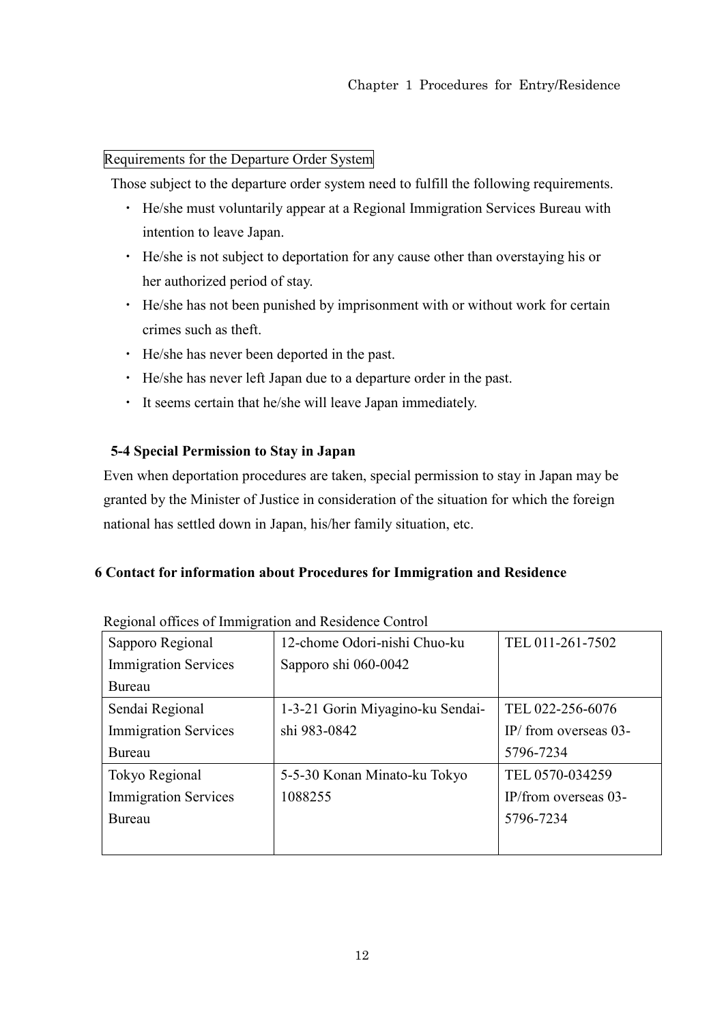### Requirements for the Departure Order System

Those subject to the departure order system need to fulfill the following requirements.

- ・ He/she must voluntarily appear at a Regional Immigration Services Bureau with intention to leave Japan.
- ・ He/she is not subject to deportation for any cause other than overstaying his or her authorized period of stay.
- ・ He/she has not been punished by imprisonment with or without work for certain crimes such as theft.
- ・ He/she has never been deported in the past.
- ・ He/she has never left Japan due to a departure order in the past.
- ・ It seems certain that he/she will leave Japan immediately.

## **5-4 Special Permission to Stay in Japan**

Even when deportation procedures are taken, special permission to stay in Japan may be granted by the Minister of Justice in consideration of the situation for which the foreign national has settled down in Japan, his/her family situation, etc.

## **6 Contact for information about Procedures for Immigration and Residence**

| ັ<br>Sapporo Regional       | 12-chome Odori-nishi Chuo-ku     | TEL 011-261-7502         |
|-----------------------------|----------------------------------|--------------------------|
| <b>Immigration Services</b> | Sapporo shi 060-0042             |                          |
| Bureau                      |                                  |                          |
| Sendai Regional             | 1-3-21 Gorin Miyagino-ku Sendai- | TEL 022-256-6076         |
| <b>Immigration Services</b> | shi 983-0842                     | IP/ from overseas $03$ - |
| Bureau                      |                                  | 5796-7234                |
| Tokyo Regional              | 5-5-30 Konan Minato-ku Tokyo     | TEL 0570-034259          |
| <b>Immigration Services</b> | 1088255                          | IP/from overseas $03$ -  |
| Bureau                      |                                  | 5796-7234                |
|                             |                                  |                          |

Regional offices of Immigration and Residence Control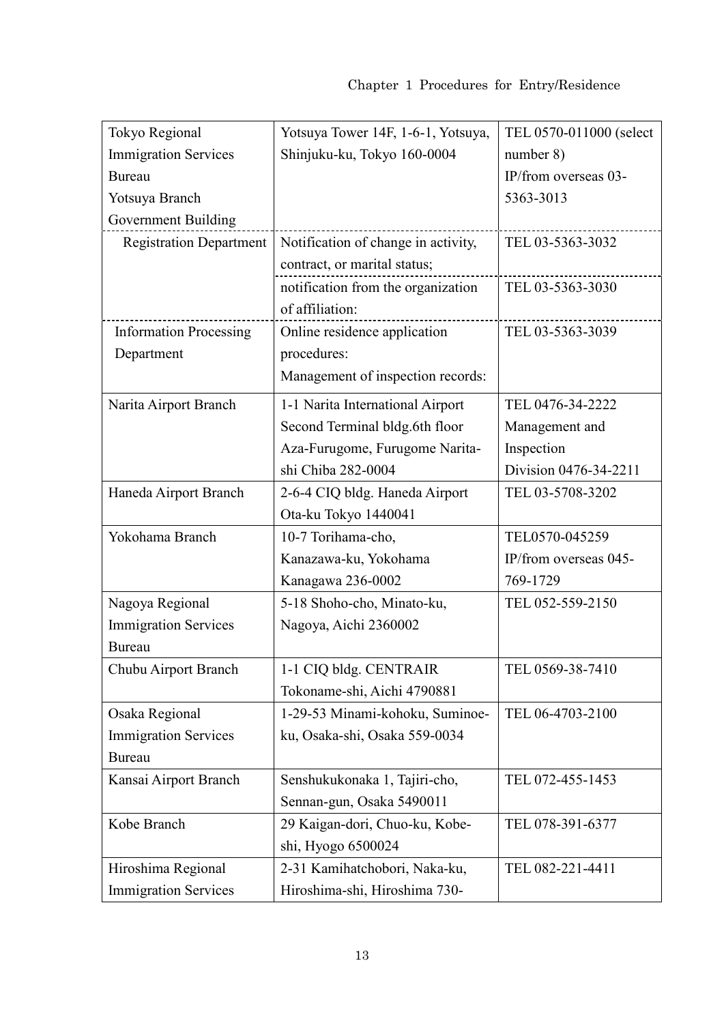| Tokyo Regional                 | Yotsuya Tower 14F, 1-6-1, Yotsuya,  | TEL 0570-011000 (select |
|--------------------------------|-------------------------------------|-------------------------|
| <b>Immigration Services</b>    | Shinjuku-ku, Tokyo 160-0004         | number $8)$             |
| Bureau                         |                                     | IP/from overseas 03-    |
| Yotsuya Branch                 |                                     | 5363-3013               |
| <b>Government Building</b>     |                                     |                         |
| <b>Registration Department</b> | Notification of change in activity, | TEL 03-5363-3032        |
|                                | contract, or marital status;        |                         |
|                                | notification from the organization  | TEL 03-5363-3030        |
|                                | of affiliation:                     |                         |
| <b>Information Processing</b>  | Online residence application        | TEL 03-5363-3039        |
| Department                     | procedures:                         |                         |
|                                | Management of inspection records:   |                         |
| Narita Airport Branch          | 1-1 Narita International Airport    | TEL 0476-34-2222        |
|                                | Second Terminal bldg.6th floor      | Management and          |
|                                | Aza-Furugome, Furugome Narita-      | Inspection              |
|                                | shi Chiba 282-0004                  | Division 0476-34-2211   |
| Haneda Airport Branch          | 2-6-4 CIQ bldg. Haneda Airport      | TEL 03-5708-3202        |
|                                | Ota-ku Tokyo 1440041                |                         |
| Yokohama Branch                | 10-7 Torihama-cho,                  | TEL0570-045259          |
|                                | Kanazawa-ku, Yokohama               | IP/from overseas 045-   |
|                                | Kanagawa 236-0002                   | 769-1729                |
| Nagoya Regional                | 5-18 Shoho-cho, Minato-ku,          | TEL 052-559-2150        |
| <b>Immigration Services</b>    | Nagoya, Aichi 2360002               |                         |
| <b>Bureau</b>                  |                                     |                         |
| Chubu Airport Branch           | 1-1 CIQ bldg. CENTRAIR              | TEL 0569-38-7410        |
|                                | Tokoname-shi, Aichi 4790881         |                         |
| Osaka Regional                 | 1-29-53 Minami-kohoku, Suminoe-     | TEL 06-4703-2100        |
| <b>Immigration Services</b>    | ku, Osaka-shi, Osaka 559-0034       |                         |
| <b>Bureau</b>                  |                                     |                         |
| Kansai Airport Branch          | Senshukukonaka 1, Tajiri-cho,       | TEL 072-455-1453        |
|                                | Sennan-gun, Osaka 5490011           |                         |
| Kobe Branch                    | 29 Kaigan-dori, Chuo-ku, Kobe-      | TEL 078-391-6377        |
|                                | shi, Hyogo 6500024                  |                         |
| Hiroshima Regional             | 2-31 Kamihatchobori, Naka-ku,       | TEL 082-221-4411        |
| <b>Immigration Services</b>    | Hiroshima-shi, Hiroshima 730-       |                         |